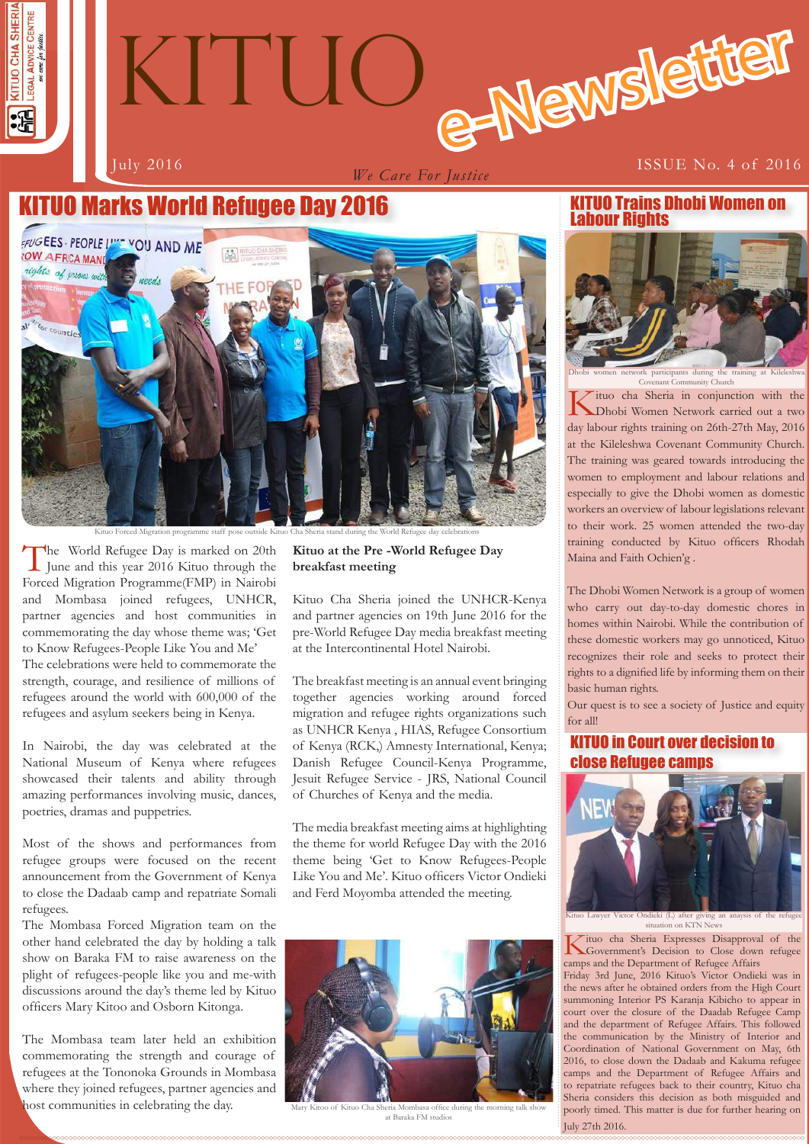

# e-Newslette KITUO

*We Care For Justice*

#### July 2016 ISSUE No. 4 of 2016

## KITUO Marks World Refugee Day 2016



Kituo Forced Migration programme staff pose outside Kituo Cha Sheria stand during the World Refugee day celebrations

The World Refugee Day is marked on 20th<br>June and this year 2016 Kituo through the Forced Migration Programme(FMP) in Nairobi and Mombasa joined refugees, UNHCR, partner agencies and host communities in commemorating the day whose theme was; 'Get to Know Refugees-People Like You and Me' The celebrations were held to commemorate the strength, courage, and resilience of millions of refugees around the world with 600,000 of the refugees and asylum seekers being in Kenya.

In Nairobi, the day was celebrated at the National Museum of Kenya where refugees showcased their talents and ability through amazing performances involving music, dances, poetries, dramas and puppetries.

Most of the shows and performances from refugee groups were focused on the recent announcement from the Government of Kenya to close the Dadaab camp and repatriate Somali refugees.

The Mombasa Forced Migration team on the other hand celebrated the day by holding a talk show on Baraka FM to raise awareness on the plight of refugees-people like you and me-with discussions around the day's theme led by Kituo officers Mary Kitoo and Osborn Kitonga.

The Mombasa team later held an exhibition commemorating the strength and courage of refugees at the Tononoka Grounds in Mombasa where they joined refugees, partner agencies and host communities in celebrating the day.

#### **Kituo at the Pre -World Refugee Day breakfast meeting**

Kituo Cha Sheria joined the UNHCR-Kenya and partner agencies on 19th June 2016 for the pre-World Refugee Day media breakfast meeting at the Intercontinental Hotel Nairobi.

The breakfast meeting is an annual event bringing together agencies working around forced migration and refugee rights organizations such as UNHCR Kenya , HIAS, Refugee Consortium of Kenya (RCK,) Amnesty International, Kenya; Danish Refugee Council-Kenya Programme, Jesuit Refugee Service - JRS, National Council of Churches of Kenya and the media.

The media breakfast meeting aims at highlighting the theme for world Refugee Day with the 2016 theme being 'Get to Know Refugees-People Like You and Me'. Kituo officers Victor Ondieki and Ferd Moyomba attended the meeting.



at Baraka FM studi

#### KITUO Trains Dhobi Women on Labour Rights



Dhobi women network participants during the training at Kileleshwa Covenant Community Church

Kituo cha Sheria in conjunction with the Dhobi Women Network carried out a two day labour rights training on 26th-27th May, 2016 at the Kileleshwa Covenant Community Church. The training was geared towards introducing the women to employment and labour relations and especially to give the Dhobi women as domestic workers an overview of labour legislations relevant to their work. 25 women attended the two-day training conducted by Kituo officers Rhodah Maina and Faith Ochien'g .

The Dhobi Women Network is a group of women who carry out day-to-day domestic chores in homes within Nairobi. While the contribution of these domestic workers may go unnoticed, Kituo recognizes their role and seeks to protect their rights to a dignified life by informing them on their basic human rights.

Our quest is to see a society of Justice and equity for all!

#### KITUO in Court over decision to close Refugee camps



to Lawyer Victor Ondieki (L) after situation on KTN New

Kituo cha Sheria Expresses Disapproval of the Government's Decision to Close down refugee camps and the Department of Refugee Affairs

poorly timed. This matter is due for further hearing on<br>  $1 \text{th} \times 27 \text{th}$  2016 Friday 3rd June, 2016 Kituo's Victor Ondieki was in the news after he obtained orders from the High Court summoning Interior PS Karanja Kibicho to appear in court over the closure of the Daadab Refugee Camp and the department of Refugee Affairs. This followed the communication by the Ministry of Interior and Coordination of National Government on May, 6th 2016, to close down the Dadaab and Kakuma refugee camps and the Department of Refugee Affairs and to repatriate refugees back to their country, Kituo cha Sheria considers this decision as both misguided and July 27th 2016.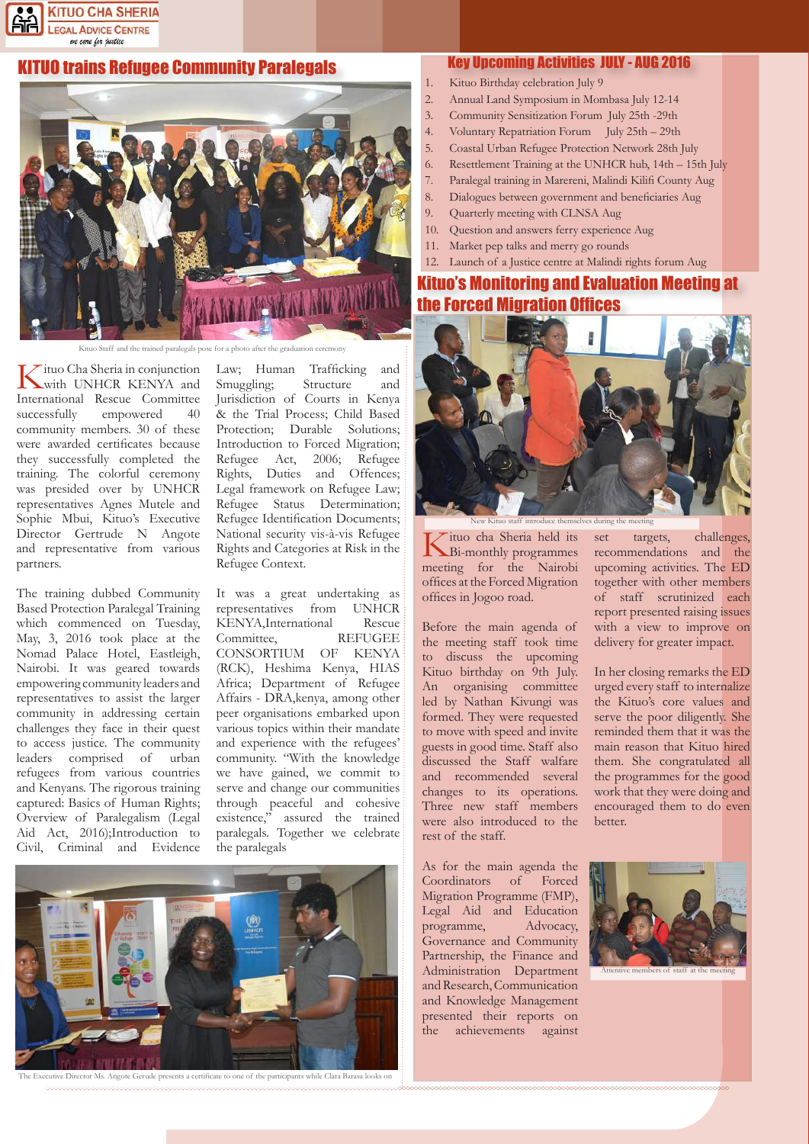

#### KITUO trains Refugee Community Paralegals



Staff and the trained paralegals pose for a photo after the graduation

Kituo Cha Sheria in conjunction with UNHCR KENYA and International Rescue Committee successfully empowered 40 community members. 30 of these were awarded certificates because they successfully completed the training. The colorful ceremony was presided over by UNHCR representatives Agnes Mutele and Sophie Mbui, Kituo's Executive Director Gertrude N Angote and representative from various partners.

The training dubbed Community Based Protection Paralegal Training which commenced on Tuesday, May, 3, 2016 took place at the Nomad Palace Hotel, Eastleigh, Nairobi. It was geared towards empowering community leaders and representatives to assist the larger community in addressing certain challenges they face in their quest to access justice. The community leaders comprised of urban refugees from various countries and Kenyans. The rigorous training captured: Basics of Human Rights; Overview of Paralegalism (Legal Aid Act, 2016);Introduction to Civil, Criminal and Evidence

Law; Human Trafficking and Smuggling; Structure and Jurisdiction of Courts in Kenya & the Trial Process; Child Based Protection; Durable Solutions; Introduction to Forced Migration; Refugee Act, 2006; Refugee Rights, Duties and Offences; Legal framework on Refugee Law; Refugee Status Determination; Refugee Identification Documents; National security vis-à-vis Refugee Rights and Categories at Risk in the Refugee Context.

It was a great undertaking as representatives from UNHCR KENYA,International Rescue Committee, REFUGEE CONSORTIUM OF KENYA (RCK), Heshima Kenya, HIAS Africa; Department of Refugee Affairs - DRA,kenya, among other peer organisations embarked upon various topics within their mandate and experience with the refugees' community. "With the knowledge we have gained, we commit to serve and change our communities through peaceful and cohesive existence," assured the trained paralegals. Together we celebrate the paralegals



#### Key Upcoming Activities JULY - AUG 2016

- 1. Kituo Birthday celebration July 9
- 2. Annual Land Symposium in Mombasa July 12-14
- 3. Community Sensitization Forum July 25th -29th
- 4. Voluntary Repatriation Forum July 25th 29th
- 5. Coastal Urban Refugee Protection Network 28th July
- 6. Resettlement Training at the UNHCR hub, 14th 15th July
- 7. Paralegal training in Marereni, Malindi Kilifi County Aug
- 8. Dialogues between government and beneficiaries Aug
- 9. Quarterly meeting with CLNSA Aug
- 10. Question and answers ferry experience Aug
- 11. Market pep talks and merry go rounds
- 12. Launch of a Justice centre at Malindi rights forum Aug

### Kituo's Monitoring and Evaluation Meeting at the Forced Migration Offices



Kituo cha Sheria held its Bi-monthly programmes meeting for the Nairobi offices at the Forced Migration offices in Jogoo road. New Kituo staff introduce themselves during the meeting

Before the main agenda of the meeting staff took time to discuss the upcoming Kituo birthday on 9th July. An organising committee led by Nathan Kivungi was formed. They were requested to move with speed and invite guests in good time. Staff also discussed the Staff walfare and recommended several changes to its operations. Three new staff members were also introduced to the rest of the staff.

As for the main agenda the Coordinators of Forced Migration Programme (FMP), Legal Aid and Education programme, Advocacy, Governance and Community Partnership, the Finance and Administration Department and Research, Communication and Knowledge Management presented their reports on the achievements against

set targets, challenges, recommendations and the upcoming activities. The ED together with other members of staff scrutinized each report presented raising issues with a view to improve on delivery for greater impact.

In her closing remarks the ED urged every staff to internalize the Kituo's core values and serve the poor diligently. She reminded them that it was the main reason that Kituo hired them. She congratulated all the programmes for the good work that they were doing and encouraged them to do even better.

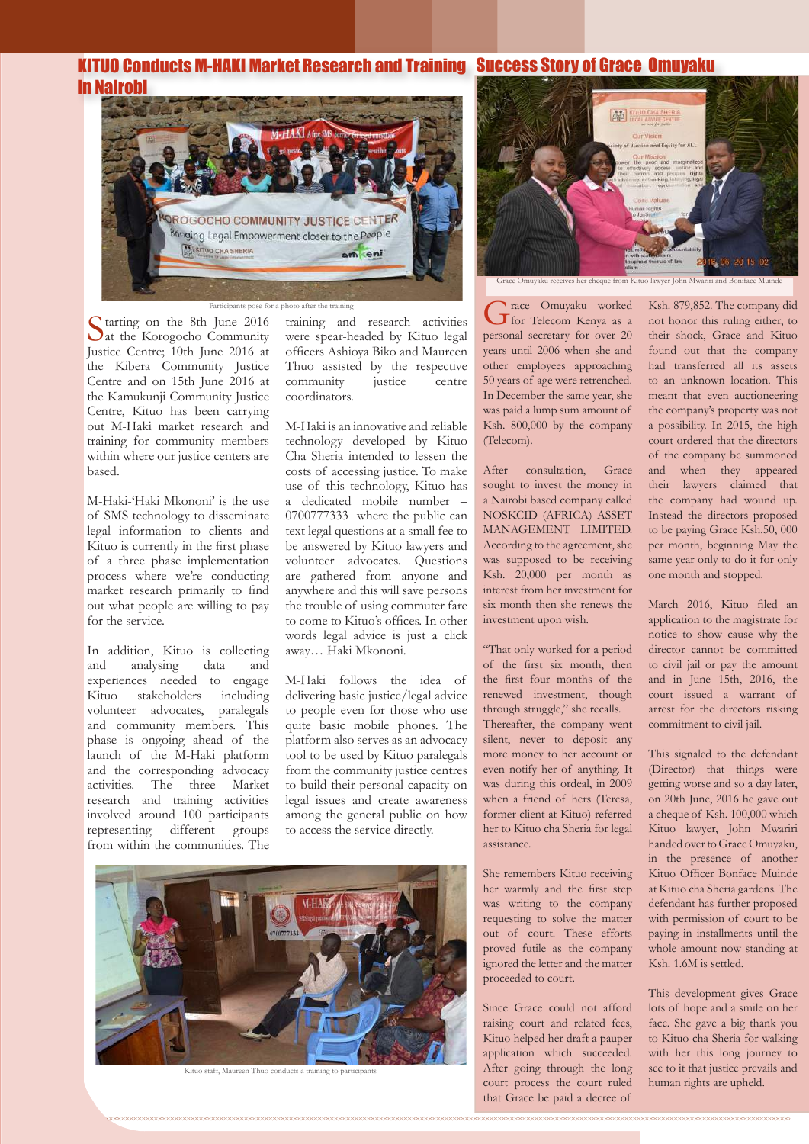#### KITUO Conducts M-HAKI Market Research and Training Success Story of Grace Omuyaku in Nairobi



Starting on the 8th June 2016<br>Let the Korogocho Community Justice Centre; 10th June 2016 at the Kibera Community Justice Centre and on 15th June 2016 at the Kamukunji Community Justice Centre, Kituo has been carrying out M-Haki market research and training for community members within where our justice centers are based.

M-Haki-'Haki Mkononi' is the use of SMS technology to disseminate legal information to clients and Kituo is currently in the first phase of a three phase implementation process where we're conducting market research primarily to find out what people are willing to pay for the service.

In addition, Kituo is collecting and analysing data and experiences needed to engage Kituo stakeholders including volunteer advocates, paralegals and community members. This phase is ongoing ahead of the launch of the M-Haki platform and the corresponding advocacy activities. The three Market research and training activities involved around 100 participants representing different groups from within the communities. The

training and research activities were spear-headed by Kituo legal officers Ashioya Biko and Maureen Thuo assisted by the respective community justice centre coordinators.

M-Haki is an innovative and reliable technology developed by Kituo Cha Sheria intended to lessen the costs of accessing justice. To make use of this technology, Kituo has a dedicated mobile number – 0700777333 where the public can text legal questions at a small fee to be answered by Kituo lawyers and volunteer advocates. Questions are gathered from anyone and anywhere and this will save persons the trouble of using commuter fare to come to Kituo's offices. In other words legal advice is just a click away… Haki Mkononi.

M-Haki follows the idea of delivering basic justice/legal advice to people even for those who use quite basic mobile phones. The platform also serves as an advocacy tool to be used by Kituo paralegals from the community justice centres to build their personal capacity on legal issues and create awareness among the general public on how to access the service directly.



Kituo staff, Maureen Thuo conducts a training to participants



Participants pose for a photo after the training<br>
June 2016 training and research activities<br>
Grace Omuyaku worked<br>
Super Telecom Kenya as a personal secretary for over 20 years until 2006 when she and other employees approaching 50 years of age were retrenched. In December the same year, she was paid a lump sum amount of Ksh. 800,000 by the company (Telecom).

> After consultation, Grace sought to invest the money in a Nairobi based company called NOSKCID (AFRICA) ASSET MANAGEMENT LIMITED. According to the agreement, she was supposed to be receiving Ksh. 20,000 per month as interest from her investment for six month then she renews the investment upon wish.

> "That only worked for a period of the first six month, then the first four months of the renewed investment, though through struggle," she recalls. Thereafter, the company went silent, never to deposit any more money to her account or even notify her of anything. It was during this ordeal, in 2009 when a friend of hers (Teresa, former client at Kituo) referred her to Kituo cha Sheria for legal assistance.

> She remembers Kituo receiving her warmly and the first step was writing to the company requesting to solve the matter out of court. These efforts proved futile as the company ignored the letter and the matter proceeded to court.

> Since Grace could not afford raising court and related fees, Kituo helped her draft a pauper application which succeeded. After going through the long court process the court ruled that Grace be paid a decree of

Ksh. 879,852. The company did not honor this ruling either, to their shock, Grace and Kituo found out that the company had transferred all its assets to an unknown location. This meant that even auctioneering the company's property was not a possibility. In 2015, the high court ordered that the directors of the company be summoned and when they appeared their lawyers claimed that the company had wound up. Instead the directors proposed to be paying Grace Ksh.50, 000 per month, beginning May the same year only to do it for only one month and stopped.

March 2016, Kituo filed an application to the magistrate for notice to show cause why the director cannot be committed to civil jail or pay the amount and in June 15th, 2016, the court issued a warrant of arrest for the directors risking commitment to civil jail.

This signaled to the defendant (Director) that things were getting worse and so a day later, on 20th June, 2016 he gave out a cheque of Ksh. 100,000 which Kituo lawyer, John Mwariri handed over to Grace Omuyaku, in the presence of another Kituo Officer Bonface Muinde at Kituo cha Sheria gardens. The defendant has further proposed with permission of court to be paying in installments until the whole amount now standing at Ksh. 1.6M is settled.

This development gives Grace lots of hope and a smile on her face. She gave a big thank you to Kituo cha Sheria for walking with her this long journey to see to it that justice prevails and human rights are upheld.

**33**